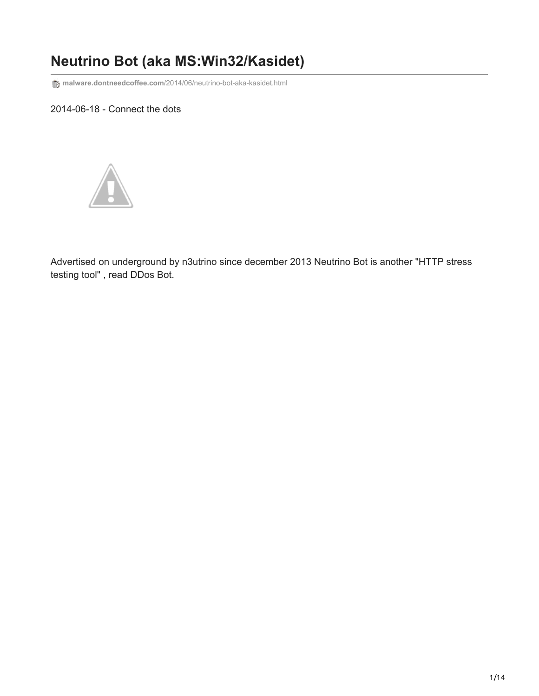## **Neutrino Bot (aka MS:Win32/Kasidet)**

**T** $_{\text{B}}$  malware.dontneedcoffee.com[/2014/06/neutrino-bot-aka-kasidet.html](http://malware.dontneedcoffee.com/2014/06/neutrino-bot-aka-kasidet.html)

## 2014-06-18 - Connect the dots



Advertised on underground by n3utrino since december 2013 Neutrino Bot is another "HTTP stress testing tool" , read DDos Bot.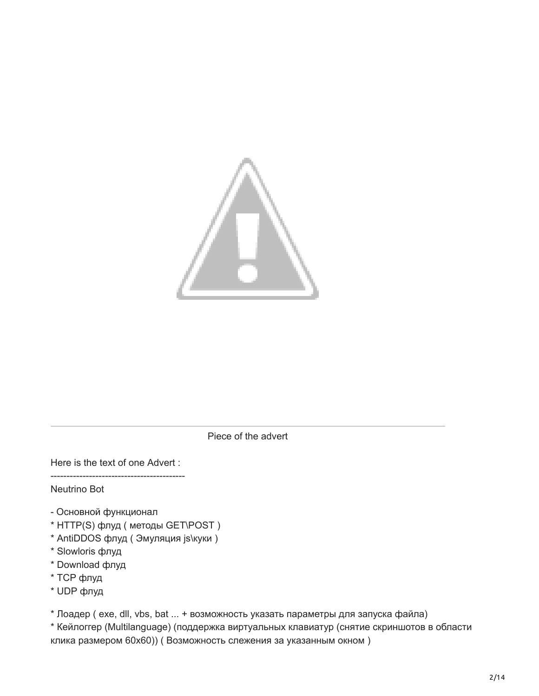

Piece of the advert

Here is the text of one Advert :

------------------------------------------ Neutrino Bot

- Основной функционал
- \* HTTP(S) флуд ( методы GET\POST )
- \* AntiDDOS флуд ( Эмуляция js\куки )
- \* Slowloris флуд
- \* Download флуд
- \* TCP флуд
- \* UDP флуд

\* Лоадер ( exe, dll, vbs, bat ... + возможность указать параметры для запуска файла)

\* Кейлоггер (Multilanguage) (поддержка виртуальных клавиатур (снятие скриншотов в области клика размером 60х60)) ( Возможность слежения за указанным окном )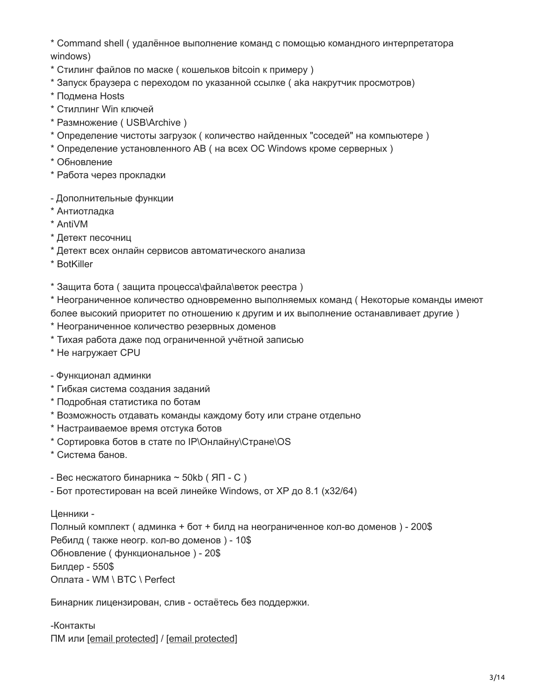\* Command shell ( удалённое выполнение команд с помощью командного интерпретатора windows)

- \* Стилинг файлов по маске ( кошельков bitcoin к примеру )
- \* Запуск браузера с переходом по указанной ссылке ( aka накрутчик просмотров)
- \* Подмена Hosts
- \* Стиллинг Win ключей
- \* Размножение ( USB\Archive )
- \* Определение чистоты загрузок ( количество найденных "соседей" на компьютере )
- \* Определение установленного АВ ( на всех ОС Windows кроме серверных )
- \* Обновление
- \* Работа через прокладки
- Дополнительные функции
- \* Антиотладка
- \* AntiVM
- \* Детект песочниц
- \* Детект всех онлайн сервисов автоматического анализа
- \* BotKiller
- \* Защита бота ( защита процесса\файла\веток реестра )
- \* Неограниченное количество одновременно выполняемых команд ( Некоторые команды имеют более высокий приоритет по отношению к другим и их выполнение останавливает другие )
- \* Неограниченное количество резервных доменов
- \* Тихая работа даже под ограниченной учётной записью
- \* Не нагружает CPU
- Функционал админки
- \* Гибкая система создания заданий
- \* Подробная статистика по ботам
- \* Возможность отдавать команды каждому боту или стране отдельно
- \* Настраиваемое время отстука ботов
- \* Сортировка ботов в стате по IP\Онлайну\Стране\OS
- \* Система банов.
- Вес несжатого бинарника ~ 50kb (ЯП С)
- Бот протестирован на всей линейке Windows, от XP до 8.1 (x32/64)

Ценники -

Полный комплект ( админка + бот + билд на неограниченное кол-во доменов ) - 200\$ Ребилд ( также неогр. кол-во доменов ) - 10\$ Обновление ( функциональное ) - 20\$ Билдер - 550\$ Оплата - WM \ BTC \ Perfect

Бинарник лицензирован, слив - остаётесь без поддержки.

-Контакты ПМ или [\[email protected\]](http://malware.dontneedcoffee.com/cdn-cgi/l/email-protection) / [\[email protected\]](http://malware.dontneedcoffee.com/cdn-cgi/l/email-protection)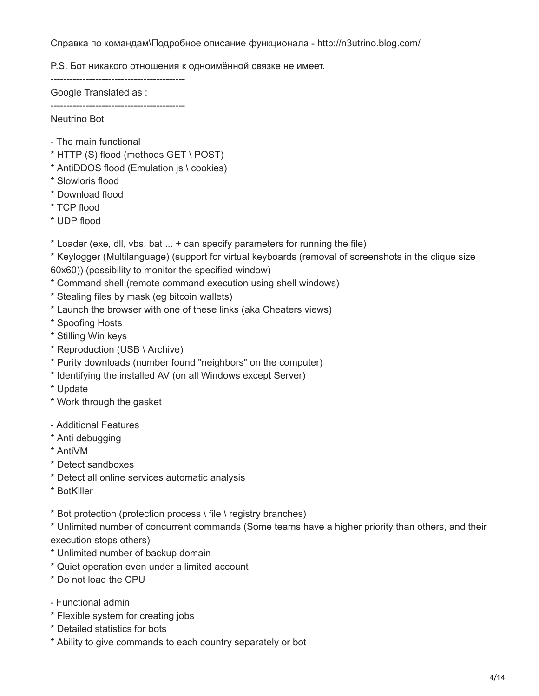Справка по командам\Подробное описание функционала - http://n3utrino.blog.com/

P.S. Бот никакого отношения к одноимённой связке не имеет.

------------------------------------------

Google Translated as :

------------------------------------------ Neutrino Bot

- The main functional
- \* HTTP (S) flood (methods GET \ POST)
- \* AntiDDOS flood (Emulation js \ cookies)
- \* Slowloris flood
- \* Download flood
- \* TCP flood
- \* UDP flood
- \* Loader (exe, dll, vbs, bat ... + can specify parameters for running the file)

\* Keylogger (Multilanguage) (support for virtual keyboards (removal of screenshots in the clique size 60x60)) (possibility to monitor the specified window)

- \* Command shell (remote command execution using shell windows)
- \* Stealing files by mask (eg bitcoin wallets)
- \* Launch the browser with one of these links (aka Cheaters views)
- \* Spoofing Hosts
- \* Stilling Win keys
- \* Reproduction (USB \ Archive)
- \* Purity downloads (number found "neighbors" on the computer)
- \* Identifying the installed AV (on all Windows except Server)
- \* Update
- \* Work through the gasket
- Additional Features
- \* Anti debugging
- \* AntiVM
- \* Detect sandboxes
- \* Detect all online services automatic analysis
- \* BotKiller
- \* Bot protection (protection process \ file \ registry branches)

\* Unlimited number of concurrent commands (Some teams have a higher priority than others, and their execution stops others)

- \* Unlimited number of backup domain
- \* Quiet operation even under a limited account
- \* Do not load the CPU
- Functional admin
- \* Flexible system for creating jobs
- \* Detailed statistics for bots
- \* Ability to give commands to each country separately or bot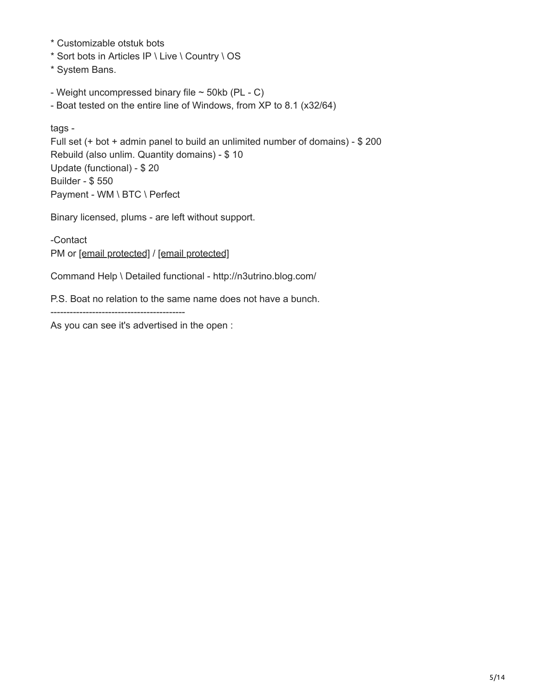- \* Customizable otstuk bots
- \* Sort bots in Articles IP \ Live \ Country \ OS
- \* System Bans.
- Weight uncompressed binary file  $\sim$  50kb (PL C)
- Boat tested on the entire line of Windows, from XP to 8.1 (x32/64)

tags - Full set (+ bot + admin panel to build an unlimited number of domains) - \$ 200 Rebuild (also unlim. Quantity domains) - \$ 10 Update (functional) - \$ 20 Builder - \$ 550 Payment - WM \ BTC \ Perfect

Binary licensed, plums - are left without support.

-Contact PM or [\[email protected\]](http://malware.dontneedcoffee.com/cdn-cgi/l/email-protection) / [\[email protected\]](http://malware.dontneedcoffee.com/cdn-cgi/l/email-protection)

Command Help \ Detailed functional - http://n3utrino.blog.com/

P.S. Boat no relation to the same name does not have a bunch.

------------------------------------------

As you can see it's advertised in the open :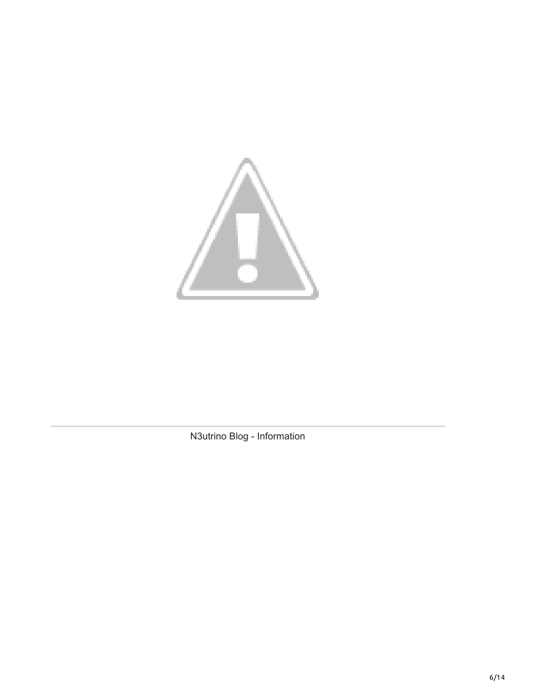

N3utrino Blog - Information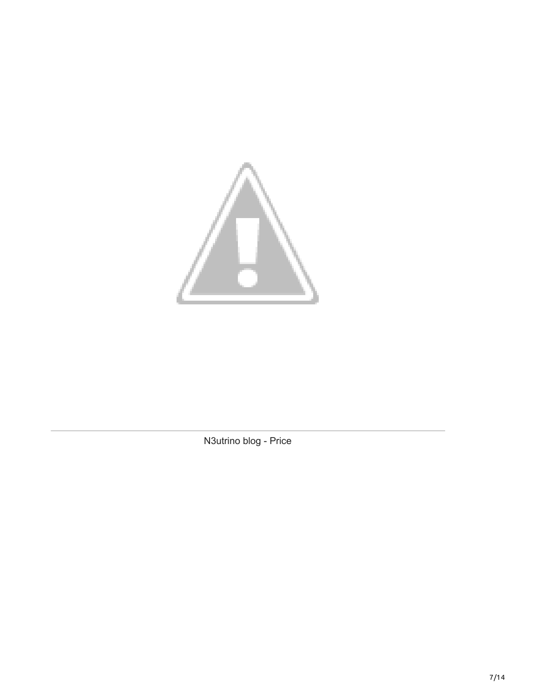

N3utrino blog - Price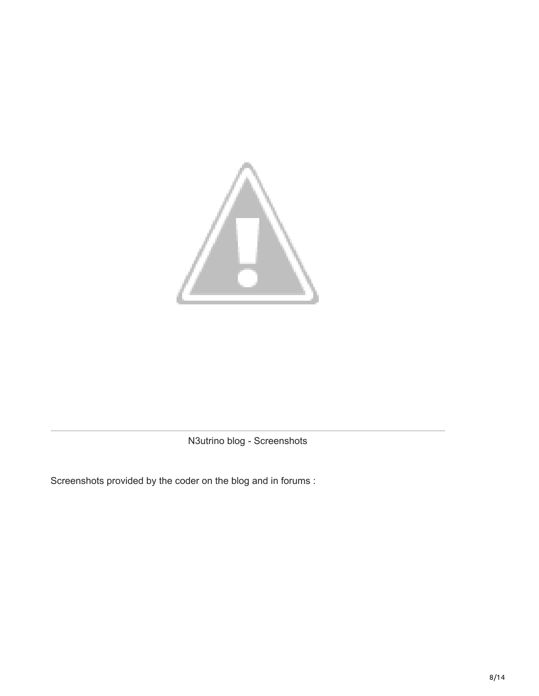

N3utrino blog - Screenshots

Screenshots provided by the coder on the blog and in forums :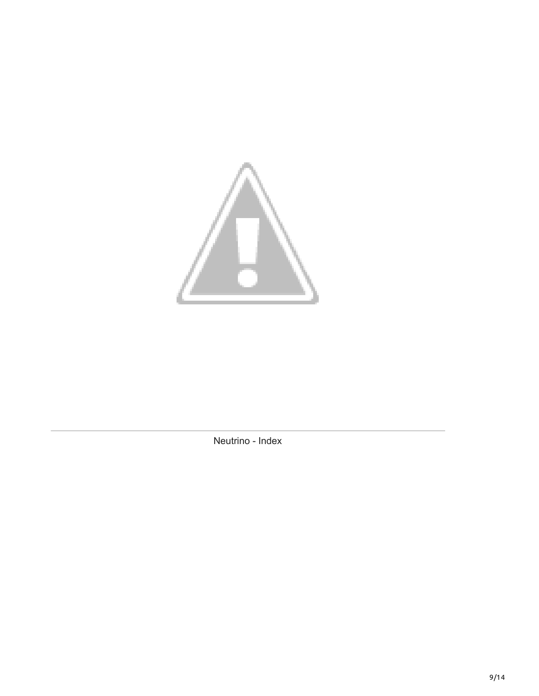

Neutrino - Index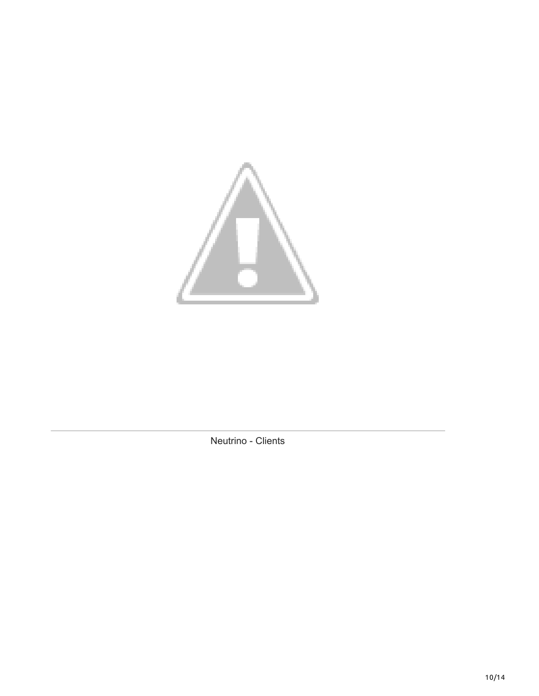

Neutrino - Clients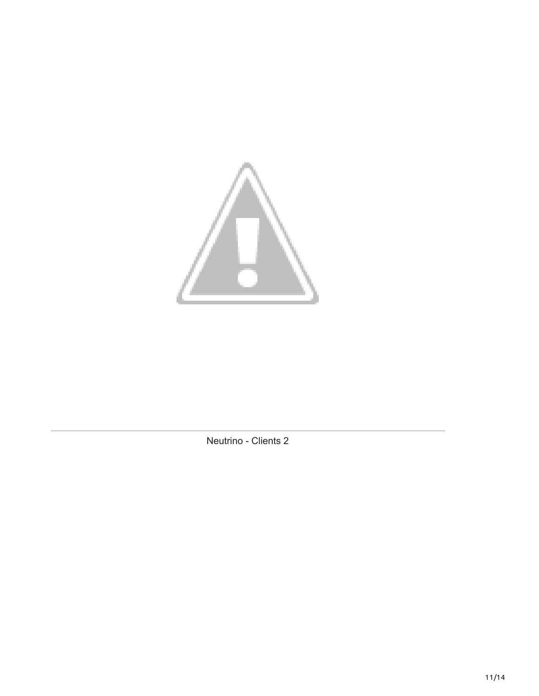

Neutrino - Clients 2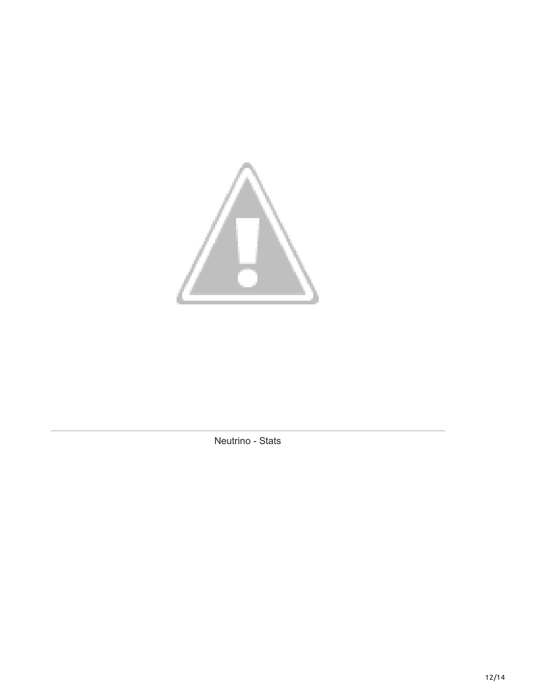

Neutrino - Stats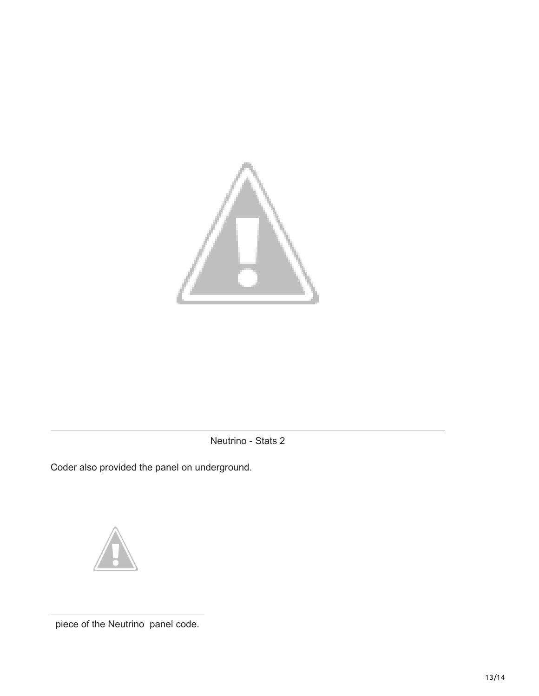

Neutrino - Stats 2

Coder also provided the panel on underground.



piece of the Neutrino panel code.